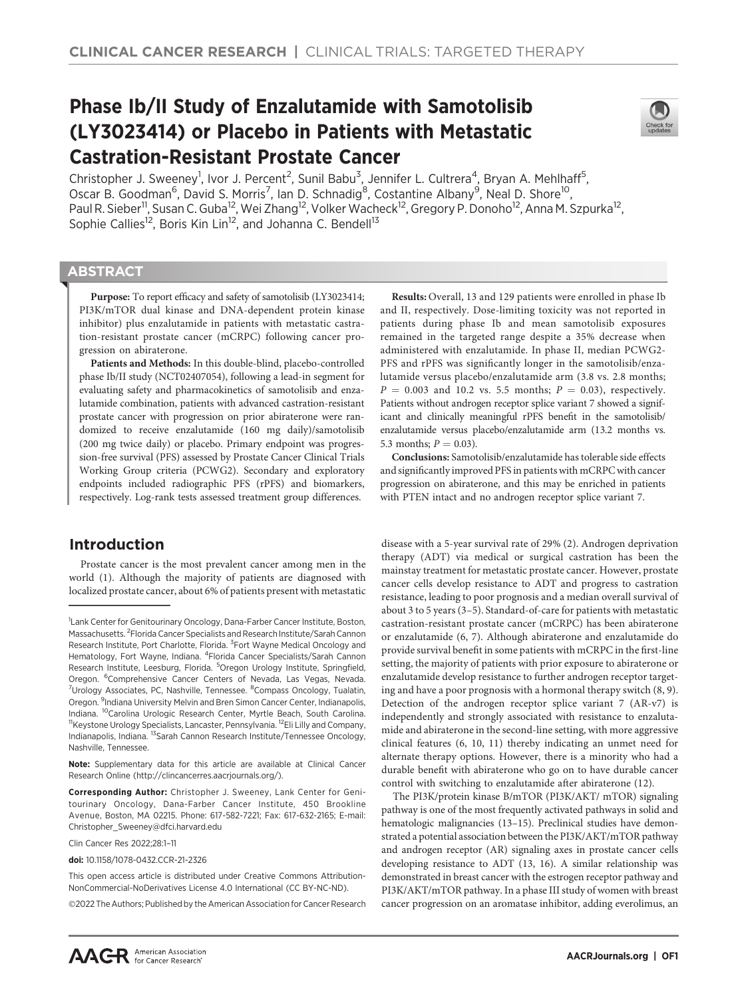# Phase Ib/II Study of Enzalutamide with Samotolisib (LY3023414) or Placebo in Patients with Metastatic Castration-Resistant Prostate Cancer



Christopher J. Sweeney<sup>1</sup>, Ivor J. Percent<sup>2</sup>, Sunil Babu<sup>3</sup>, Jennifer L. Cultrera<sup>4</sup>, Bryan A. Mehlhaff<sup>5</sup>, Oscar B. Goodman<sup>6</sup>, David S. Morris<sup>7</sup>, Ian D. Schnadig<sup>8</sup>, Costantine Albany<sup>9</sup>, Neal D. Shore<sup>10</sup>, Paul R. Sieber<sup>11</sup>, Susan C. Guba<sup>12</sup>, Wei Zhang<sup>12</sup>, Volker Wacheck<sup>12</sup>, Gregory P. Donoho<sup>12</sup>, Anna M. Szpurka<sup>12</sup>, Sophie Callies<sup>12</sup>, Boris Kin Lin<sup>12</sup>, and Johanna C. Bendell<sup>13</sup>

# **ABSTRACT**

◥

Purpose: To report efficacy and safety of samotolisib (LY3023414; PI3K/mTOR dual kinase and DNA-dependent protein kinase inhibitor) plus enzalutamide in patients with metastatic castration-resistant prostate cancer (mCRPC) following cancer progression on abiraterone.

Patients and Methods: In this double-blind, placebo-controlled phase Ib/II study (NCT02407054), following a lead-in segment for evaluating safety and pharmacokinetics of samotolisib and enzalutamide combination, patients with advanced castration-resistant prostate cancer with progression on prior abiraterone were randomized to receive enzalutamide (160 mg daily)/samotolisib (200 mg twice daily) or placebo. Primary endpoint was progression-free survival (PFS) assessed by Prostate Cancer Clinical Trials Working Group criteria (PCWG2). Secondary and exploratory endpoints included radiographic PFS (rPFS) and biomarkers, respectively. Log-rank tests assessed treatment group differences.

# Introduction

Prostate cancer is the most prevalent cancer among men in the world (1). Although the majority of patients are diagnosed with localized prostate cancer, about 6% of patients present with metastatic

Clin Cancer Res 2022;28:1–11

doi: 10.1158/1078-0432.CCR-21-2326

This open access article is distributed under Creative Commons Attribution-NonCommercial-NoDerivatives License 4.0 International (CC BY-NC-ND).

2022 The Authors; Published by the American Association for Cancer Research

Results: Overall, 13 and 129 patients were enrolled in phase Ib and II, respectively. Dose-limiting toxicity was not reported in patients during phase Ib and mean samotolisib exposures remained in the targeted range despite a 35% decrease when administered with enzalutamide. In phase II, median PCWG2- PFS and rPFS was significantly longer in the samotolisib/enzalutamide versus placebo/enzalutamide arm (3.8 vs. 2.8 months;  $P = 0.003$  and 10.2 vs. 5.5 months;  $P = 0.03$ ), respectively. Patients without androgen receptor splice variant 7 showed a significant and clinically meaningful rPFS benefit in the samotolisib/ enzalutamide versus placebo/enzalutamide arm (13.2 months vs. 5.3 months;  $P = 0.03$ ).

Conclusions: Samotolisib/enzalutamide has tolerable side effects and significantly improved PFS in patients with mCRPC with cancer progression on abiraterone, and this may be enriched in patients with PTEN intact and no androgen receptor splice variant 7.

disease with a 5-year survival rate of 29% (2). Androgen deprivation therapy (ADT) via medical or surgical castration has been the mainstay treatment for metastatic prostate cancer. However, prostate cancer cells develop resistance to ADT and progress to castration resistance, leading to poor prognosis and a median overall survival of about 3 to 5 years (3–5). Standard-of-care for patients with metastatic castration-resistant prostate cancer (mCRPC) has been abiraterone or enzalutamide (6, 7). Although abiraterone and enzalutamide do provide survival benefit in some patients with mCRPC in the first-line setting, the majority of patients with prior exposure to abiraterone or enzalutamide develop resistance to further androgen receptor targeting and have a poor prognosis with a hormonal therapy switch (8, 9). Detection of the androgen receptor splice variant 7 (AR-v7) is independently and strongly associated with resistance to enzalutamide and abiraterone in the second-line setting, with more aggressive clinical features (6, 10, 11) thereby indicating an unmet need for alternate therapy options. However, there is a minority who had a durable benefit with abiraterone who go on to have durable cancer control with switching to enzalutamide after abiraterone (12).

The PI3K/protein kinase B/mTOR (PI3K/AKT/ mTOR) signaling pathway is one of the most frequently activated pathways in solid and hematologic malignancies (13–15). Preclinical studies have demonstrated a potential association between the PI3K/AKT/mTOR pathway and androgen receptor (AR) signaling axes in prostate cancer cells developing resistance to ADT (13, 16). A similar relationship was demonstrated in breast cancer with the estrogen receptor pathway and PI3K/AKT/mTOR pathway. In a phase III study of women with breast cancer progression on an aromatase inhibitor, adding everolimus, an

<sup>&</sup>lt;sup>1</sup> Lank Center for Genitourinary Oncology, Dana-Farber Cancer Institute, Boston, Massachusetts. <sup>2</sup> Florida Cancer Specialists and Research Institute/Sarah Cannon Research Institute, Port Charlotte, Florida. <sup>3</sup>Fort Wayne Medical Oncology and Hematology, Fort Wayne, Indiana. <sup>4</sup>Florida Cancer Specialists/Sarah Cannon Research Institute, Leesburg, Florida. <sup>5</sup>Oregon Urology Institute, Springfield, Oregon. <sup>6</sup>Comprehensive Cancer Centers of Nevada, Las Vegas, Nevada. <sup>7</sup>Urology Associates, PC, Nashville, Tennessee. <sup>8</sup>Compass Oncology, Tualatin, Oregon. <sup>9</sup>Indiana University Melvin and Bren Simon Cancer Center, Indianapolis, Indiana. <sup>10</sup>Carolina Urologic Research Center, Myrtle Beach, South Carolina. <sup>11</sup>Keystone Urology Specialists, Lancaster, Pennsylvania. <sup>12</sup>Eli Lilly and Company, Indianapolis, Indiana. 13Sarah Cannon Research Institute/Tennessee Oncology, Nashville, Tennessee.

Note: Supplementary data for this article are available at Clinical Cancer Research Online (http://clincancerres.aacrjournals.org/).

Corresponding Author: Christopher J. Sweeney, Lank Center for Genitourinary Oncology, Dana-Farber Cancer Institute, 450 Brookline Avenue, Boston, MA 02215. Phone: 617-582-7221; Fax: 617-632-2165; E-mail: Christopher\_Sweeney@dfci.harvard.edu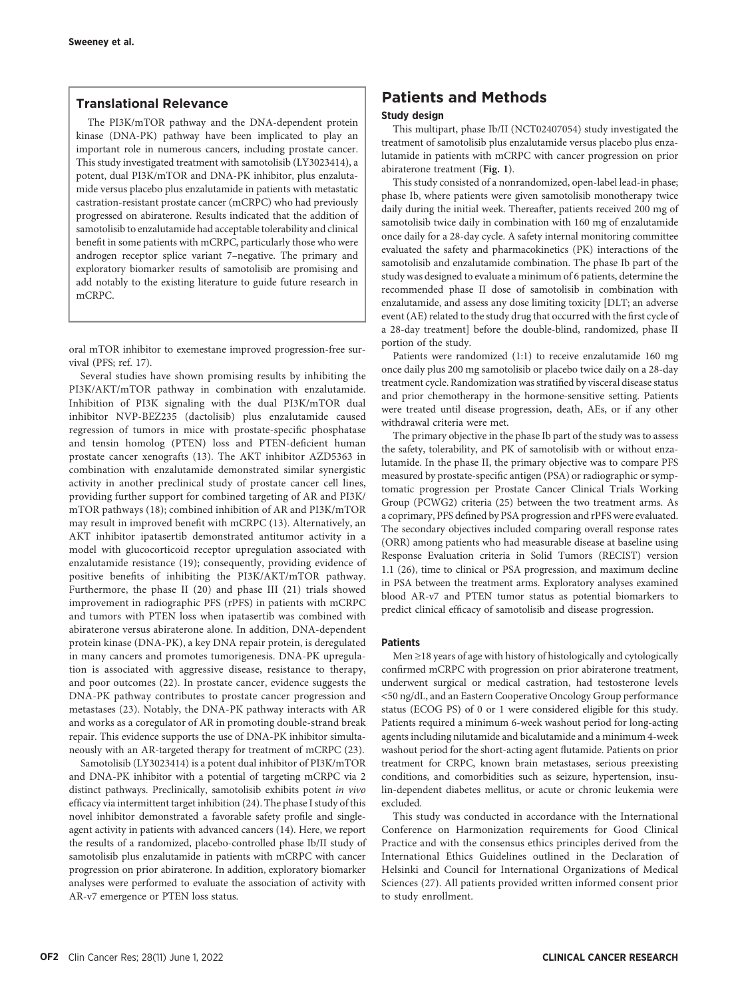# Translational Relevance

The PI3K/mTOR pathway and the DNA-dependent protein kinase (DNA-PK) pathway have been implicated to play an important role in numerous cancers, including prostate cancer. This study investigated treatment with samotolisib (LY3023414), a potent, dual PI3K/mTOR and DNA-PK inhibitor, plus enzalutamide versus placebo plus enzalutamide in patients with metastatic castration-resistant prostate cancer (mCRPC) who had previously progressed on abiraterone. Results indicated that the addition of samotolisib to enzalutamide had acceptable tolerability and clinical benefit in some patients with mCRPC, particularly those who were androgen receptor splice variant 7–negative. The primary and exploratory biomarker results of samotolisib are promising and add notably to the existing literature to guide future research in mCRPC.

oral mTOR inhibitor to exemestane improved progression-free survival (PFS; ref. 17).

Several studies have shown promising results by inhibiting the PI3K/AKT/mTOR pathway in combination with enzalutamide. Inhibition of PI3K signaling with the dual PI3K/mTOR dual inhibitor NVP-BEZ235 (dactolisib) plus enzalutamide caused regression of tumors in mice with prostate-specific phosphatase and tensin homolog (PTEN) loss and PTEN-deficient human prostate cancer xenografts (13). The AKT inhibitor AZD5363 in combination with enzalutamide demonstrated similar synergistic activity in another preclinical study of prostate cancer cell lines, providing further support for combined targeting of AR and PI3K/ mTOR pathways (18); combined inhibition of AR and PI3K/mTOR may result in improved benefit with mCRPC (13). Alternatively, an AKT inhibitor ipatasertib demonstrated antitumor activity in a model with glucocorticoid receptor upregulation associated with enzalutamide resistance (19); consequently, providing evidence of positive benefits of inhibiting the PI3K/AKT/mTOR pathway. Furthermore, the phase II (20) and phase III (21) trials showed improvement in radiographic PFS (rPFS) in patients with mCRPC and tumors with PTEN loss when ipatasertib was combined with abiraterone versus abiraterone alone. In addition, DNA-dependent protein kinase (DNA-PK), a key DNA repair protein, is deregulated in many cancers and promotes tumorigenesis. DNA-PK upregulation is associated with aggressive disease, resistance to therapy, and poor outcomes (22). In prostate cancer, evidence suggests the DNA-PK pathway contributes to prostate cancer progression and metastases (23). Notably, the DNA-PK pathway interacts with AR and works as a coregulator of AR in promoting double-strand break repair. This evidence supports the use of DNA-PK inhibitor simultaneously with an AR-targeted therapy for treatment of mCRPC (23).

Samotolisib (LY3023414) is a potent dual inhibitor of PI3K/mTOR and DNA-PK inhibitor with a potential of targeting mCRPC via 2 distinct pathways. Preclinically, samotolisib exhibits potent in vivo efficacy via intermittent target inhibition (24). The phase I study of this novel inhibitor demonstrated a favorable safety profile and singleagent activity in patients with advanced cancers (14). Here, we report the results of a randomized, placebo-controlled phase Ib/II study of samotolisib plus enzalutamide in patients with mCRPC with cancer progression on prior abiraterone. In addition, exploratory biomarker analyses were performed to evaluate the association of activity with AR-v7 emergence or PTEN loss status.

# Patients and Methods

# Study design

This multipart, phase Ib/II (NCT02407054) study investigated the treatment of samotolisib plus enzalutamide versus placebo plus enzalutamide in patients with mCRPC with cancer progression on prior abiraterone treatment (Fig. 1).

This study consisted of a nonrandomized, open-label lead-in phase; phase Ib, where patients were given samotolisib monotherapy twice daily during the initial week. Thereafter, patients received 200 mg of samotolisib twice daily in combination with 160 mg of enzalutamide once daily for a 28-day cycle. A safety internal monitoring committee evaluated the safety and pharmacokinetics (PK) interactions of the samotolisib and enzalutamide combination. The phase Ib part of the study was designed to evaluate a minimum of 6 patients, determine the recommended phase II dose of samotolisib in combination with enzalutamide, and assess any dose limiting toxicity [DLT; an adverse event (AE) related to the study drug that occurred with the first cycle of a 28-day treatment] before the double-blind, randomized, phase II portion of the study.

Patients were randomized (1:1) to receive enzalutamide 160 mg once daily plus 200 mg samotolisib or placebo twice daily on a 28-day treatment cycle. Randomization was stratified by visceral disease status and prior chemotherapy in the hormone-sensitive setting. Patients were treated until disease progression, death, AEs, or if any other withdrawal criteria were met.

The primary objective in the phase Ib part of the study was to assess the safety, tolerability, and PK of samotolisib with or without enzalutamide. In the phase II, the primary objective was to compare PFS measured by prostate-specific antigen (PSA) or radiographic or symptomatic progression per Prostate Cancer Clinical Trials Working Group (PCWG2) criteria (25) between the two treatment arms. As a coprimary, PFS defined by PSA progression and rPFS were evaluated. The secondary objectives included comparing overall response rates (ORR) among patients who had measurable disease at baseline using Response Evaluation criteria in Solid Tumors (RECIST) version 1.1 (26), time to clinical or PSA progression, and maximum decline in PSA between the treatment arms. Exploratory analyses examined blood AR-v7 and PTEN tumor status as potential biomarkers to predict clinical efficacy of samotolisib and disease progression.

# Patients

Men ≥18 years of age with history of histologically and cytologically confirmed mCRPC with progression on prior abiraterone treatment, underwent surgical or medical castration, had testosterone levels <50 ng/dL, and an Eastern Cooperative Oncology Group performance status (ECOG PS) of 0 or 1 were considered eligible for this study. Patients required a minimum 6-week washout period for long-acting agents including nilutamide and bicalutamide and a minimum 4-week washout period for the short-acting agent flutamide. Patients on prior treatment for CRPC, known brain metastases, serious preexisting conditions, and comorbidities such as seizure, hypertension, insulin-dependent diabetes mellitus, or acute or chronic leukemia were excluded.

This study was conducted in accordance with the International Conference on Harmonization requirements for Good Clinical Practice and with the consensus ethics principles derived from the International Ethics Guidelines outlined in the Declaration of Helsinki and Council for International Organizations of Medical Sciences (27). All patients provided written informed consent prior to study enrollment.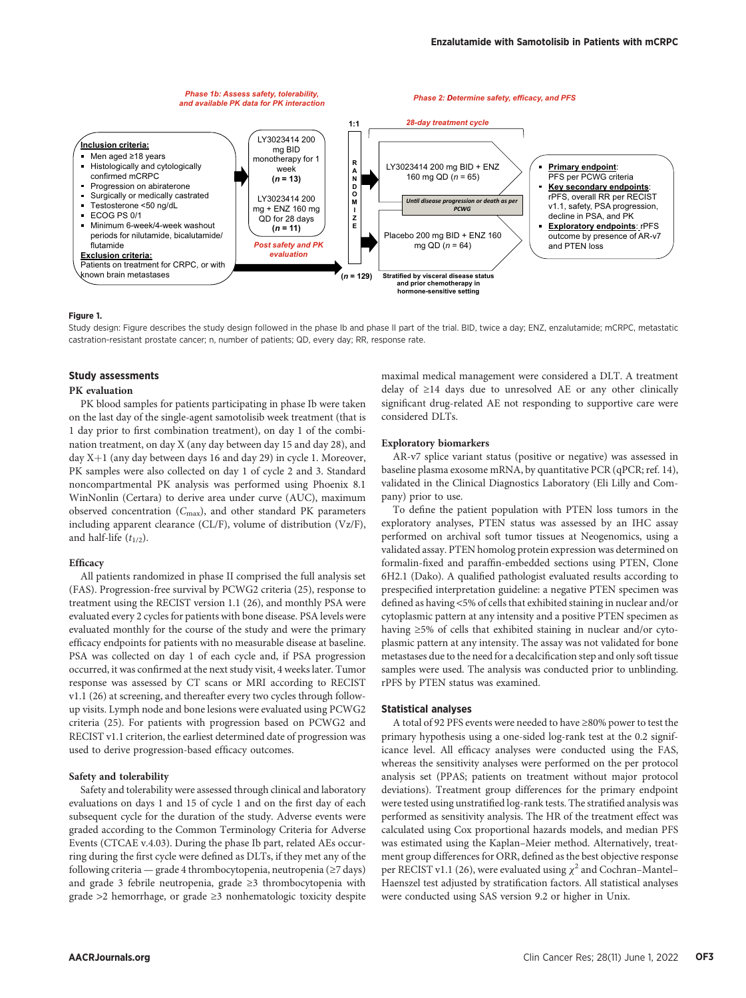

#### Figure 1.

Study design: Figure describes the study design followed in the phase Ib and phase II part of the trial. BID, twice a day; ENZ, enzalutamide; mCRPC, metastatic castration-resistant prostate cancer; n, number of patients; QD, every day; RR, response rate.

# Study assessments

### PK evaluation

PK blood samples for patients participating in phase Ib were taken on the last day of the single-agent samotolisib week treatment (that is 1 day prior to first combination treatment), on day 1 of the combination treatment, on day X (any day between day 15 and day 28), and day  $X+1$  (any day between days 16 and day 29) in cycle 1. Moreover, PK samples were also collected on day 1 of cycle 2 and 3. Standard noncompartmental PK analysis was performed using Phoenix 8.1 WinNonlin (Certara) to derive area under curve (AUC), maximum observed concentration  $(C_{\text{max}})$ , and other standard PK parameters including apparent clearance (CL/F), volume of distribution (Vz/F), and half-life  $(t_{1/2})$ .

### **Efficacy**

All patients randomized in phase II comprised the full analysis set (FAS). Progression-free survival by PCWG2 criteria (25), response to treatment using the RECIST version 1.1 (26), and monthly PSA were evaluated every 2 cycles for patients with bone disease. PSA levels were evaluated monthly for the course of the study and were the primary efficacy endpoints for patients with no measurable disease at baseline. PSA was collected on day 1 of each cycle and, if PSA progression occurred, it was confirmed at the next study visit, 4 weeks later. Tumor response was assessed by CT scans or MRI according to RECIST v1.1 (26) at screening, and thereafter every two cycles through followup visits. Lymph node and bone lesions were evaluated using PCWG2 criteria (25). For patients with progression based on PCWG2 and RECIST v1.1 criterion, the earliest determined date of progression was used to derive progression-based efficacy outcomes.

### Safety and tolerability

Safety and tolerability were assessed through clinical and laboratory evaluations on days 1 and 15 of cycle 1 and on the first day of each subsequent cycle for the duration of the study. Adverse events were graded according to the Common Terminology Criteria for Adverse Events (CTCAE v.4.03). During the phase Ib part, related AEs occurring during the first cycle were defined as DLTs, if they met any of the following criteria — grade 4 thrombocytopenia, neutropenia (≥7 days) and grade 3 febrile neutropenia, grade ≥3 thrombocytopenia with grade >2 hemorrhage, or grade ≥3 nonhematologic toxicity despite maximal medical management were considered a DLT. A treatment delay of ≥14 days due to unresolved AE or any other clinically significant drug-related AE not responding to supportive care were considered DLTs.

# Exploratory biomarkers

AR-v7 splice variant status (positive or negative) was assessed in baseline plasma exosome mRNA, by quantitative PCR (qPCR; ref. 14), validated in the Clinical Diagnostics Laboratory (Eli Lilly and Company) prior to use.

To define the patient population with PTEN loss tumors in the exploratory analyses, PTEN status was assessed by an IHC assay performed on archival soft tumor tissues at Neogenomics, using a validated assay. PTEN homolog protein expression was determined on formalin-fixed and paraffin-embedded sections using PTEN, Clone 6H2.1 (Dako). A qualified pathologist evaluated results according to prespecified interpretation guideline: a negative PTEN specimen was defined as having <5% of cells that exhibited staining in nuclear and/or cytoplasmic pattern at any intensity and a positive PTEN specimen as having ≥5% of cells that exhibited staining in nuclear and/or cytoplasmic pattern at any intensity. The assay was not validated for bone metastases due to the need for a decalcification step and only soft tissue samples were used. The analysis was conducted prior to unblinding. rPFS by PTEN status was examined.

# Statistical analyses

A total of 92 PFS events were needed to have ≥80% power to test the primary hypothesis using a one-sided log-rank test at the 0.2 significance level. All efficacy analyses were conducted using the FAS, whereas the sensitivity analyses were performed on the per protocol analysis set (PPAS; patients on treatment without major protocol deviations). Treatment group differences for the primary endpoint were tested using unstratified log-rank tests. The stratified analysis was performed as sensitivity analysis. The HR of the treatment effect was calculated using Cox proportional hazards models, and median PFS was estimated using the Kaplan–Meier method. Alternatively, treatment group differences for ORR, defined as the best objective response per RECIST v1.1 (26), were evaluated using  $\chi^2$  and Cochran–Mantel– Haenszel test adjusted by stratification factors. All statistical analyses were conducted using SAS version 9.2 or higher in Unix.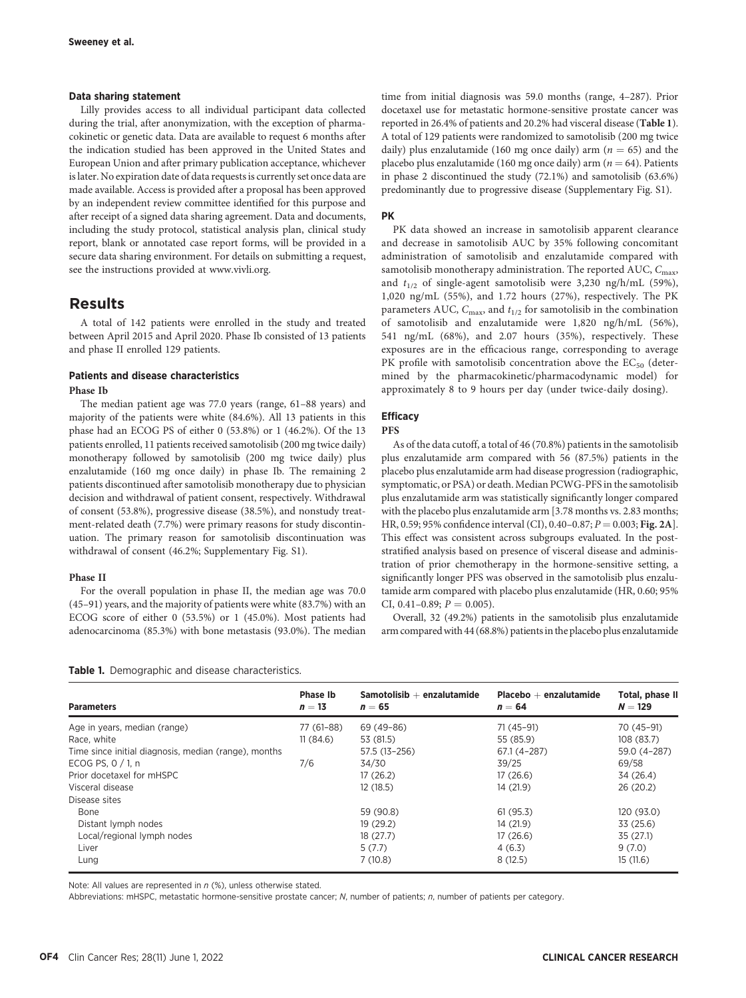# Data sharing statement

Lilly provides access to all individual participant data collected during the trial, after anonymization, with the exception of pharmacokinetic or genetic data. Data are available to request 6 months after the indication studied has been approved in the United States and European Union and after primary publication acceptance, whichever is later. No expiration date of data requests is currently set once data are made available. Access is provided after a proposal has been approved by an independent review committee identified for this purpose and after receipt of a signed data sharing agreement. Data and documents, including the study protocol, statistical analysis plan, clinical study report, blank or annotated case report forms, will be provided in a secure data sharing environment. For details on submitting a request, see the instructions provided at [www.vivli.org.](http://www.vivli.org)

# Results

A total of 142 patients were enrolled in the study and treated between April 2015 and April 2020. Phase Ib consisted of 13 patients and phase II enrolled 129 patients.

# Patients and disease characteristics

# Phase Ib

The median patient age was 77.0 years (range, 61–88 years) and majority of the patients were white (84.6%). All 13 patients in this phase had an ECOG PS of either 0 (53.8%) or 1 (46.2%). Of the 13 patients enrolled, 11 patients received samotolisib (200 mg twice daily) monotherapy followed by samotolisib (200 mg twice daily) plus enzalutamide (160 mg once daily) in phase Ib. The remaining 2 patients discontinued after samotolisib monotherapy due to physician decision and withdrawal of patient consent, respectively. Withdrawal of consent (53.8%), progressive disease (38.5%), and nonstudy treatment-related death (7.7%) were primary reasons for study discontinuation. The primary reason for samotolisib discontinuation was withdrawal of consent (46.2%; Supplementary Fig. S1).

#### Phase II

For the overall population in phase II, the median age was 70.0 (45–91) years, and the majority of patients were white (83.7%) with an ECOG score of either 0 (53.5%) or 1 (45.0%). Most patients had adenocarcinoma (85.3%) with bone metastasis (93.0%). The median time from initial diagnosis was 59.0 months (range, 4–287). Prior docetaxel use for metastatic hormone-sensitive prostate cancer was reported in 26.4% of patients and 20.2% had visceral disease (Table 1). A total of 129 patients were randomized to samotolisib (200 mg twice daily) plus enzalutamide (160 mg once daily) arm ( $n = 65$ ) and the placebo plus enzalutamide (160 mg once daily) arm ( $n = 64$ ). Patients in phase 2 discontinued the study (72.1%) and samotolisib (63.6%) predominantly due to progressive disease (Supplementary Fig. S1).

### PK

PK data showed an increase in samotolisib apparent clearance and decrease in samotolisib AUC by 35% following concomitant administration of samotolisib and enzalutamide compared with samotolisib monotherapy administration. The reported AUC,  $C_{\text{max}}$ , and  $t_{1/2}$  of single-agent samotolisib were 3,230 ng/h/mL (59%), 1,020 ng/mL (55%), and 1.72 hours (27%), respectively. The PK parameters AUC,  $C_{\text{max}}$ , and  $t_{1/2}$  for samotolisib in the combination of samotolisib and enzalutamide were 1,820 ng/h/mL (56%), 541 ng/mL (68%), and 2.07 hours (35%), respectively. These exposures are in the efficacious range, corresponding to average PK profile with samotolisib concentration above the  $EC_{50}$  (determined by the pharmacokinetic/pharmacodynamic model) for approximately 8 to 9 hours per day (under twice-daily dosing).

# **Efficacy**

#### PFS

As of the data cutoff, a total of 46 (70.8%) patients in the samotolisib plus enzalutamide arm compared with 56 (87.5%) patients in the placebo plus enzalutamide arm had disease progression (radiographic, symptomatic, or PSA) or death. Median PCWG-PFS in the samotolisib plus enzalutamide arm was statistically significantly longer compared with the placebo plus enzalutamide arm [3.78 months vs. 2.83 months; HR, 0.59; 95% confidence interval (CI), 0.40–0.87;  $P = 0.003$ ; Fig. 2A]. This effect was consistent across subgroups evaluated. In the poststratified analysis based on presence of visceral disease and administration of prior chemotherapy in the hormone-sensitive setting, a significantly longer PFS was observed in the samotolisib plus enzalutamide arm compared with placebo plus enzalutamide (HR, 0.60; 95% CI, 0.41-0.89;  $P = 0.005$ ).

Overall, 32 (49.2%) patients in the samotolisib plus enzalutamide arm compared with 44 (68.8%) patients in the placebo plus enzalutamide

|  |  |  |  |  | Table 1. Demographic and disease characteristics. |
|--|--|--|--|--|---------------------------------------------------|
|--|--|--|--|--|---------------------------------------------------|

| <b>Parameters</b>                                    | <b>Phase Ib</b><br>$n=13$ | $Samotolisib + enzalutamide$<br>$n=65$ | $Placebo + enzalutamide$<br>$n = 64$ | Total, phase II<br>$N = 129$ |
|------------------------------------------------------|---------------------------|----------------------------------------|--------------------------------------|------------------------------|
| Age in years, median (range)                         | 77 (61–88)                | 69 (49-86)                             | 71 (45–91)                           | 70 (45-91)                   |
| Race, white                                          | 11(84.6)                  | 53 (81.5)                              | 55 (85.9)                            | 108 (83.7)                   |
| Time since initial diagnosis, median (range), months |                           | 57.5 (13-256)                          | 67.1 (4-287)                         | 59.0 (4-287)                 |
| ECOG PS, $0/1$ , n                                   | 7/6                       | 34/30                                  | 39/25                                | 69/58                        |
| Prior docetaxel for mHSPC                            |                           | 17(26.2)                               | 17(26.6)                             | 34 (26.4)                    |
| Visceral disease                                     |                           | 12(18.5)                               | 14 (21.9)                            | 26 (20.2)                    |
| Disease sites                                        |                           |                                        |                                      |                              |
| Bone                                                 |                           | 59 (90.8)                              | 61(95.3)                             | 120 (93.0)                   |
| Distant lymph nodes                                  |                           | 19(29.2)                               | 14 (21.9)                            | 33 (25.6)                    |
| Local/regional lymph nodes                           |                           | 18(27.7)                               | 17(26.6)                             | 35 (27.1)                    |
| Liver                                                |                           | 5(7.7)                                 | 4(6.3)                               | 9(7.0)                       |
| Lung                                                 |                           | 7(10.8)                                | 8(12.5)                              | 15(11.6)                     |

Note: All values are represented in  $n$  (%), unless otherwise stated.

Abbreviations: mHSPC, metastatic hormone-sensitive prostate cancer; N, number of patients; n, number of patients per category.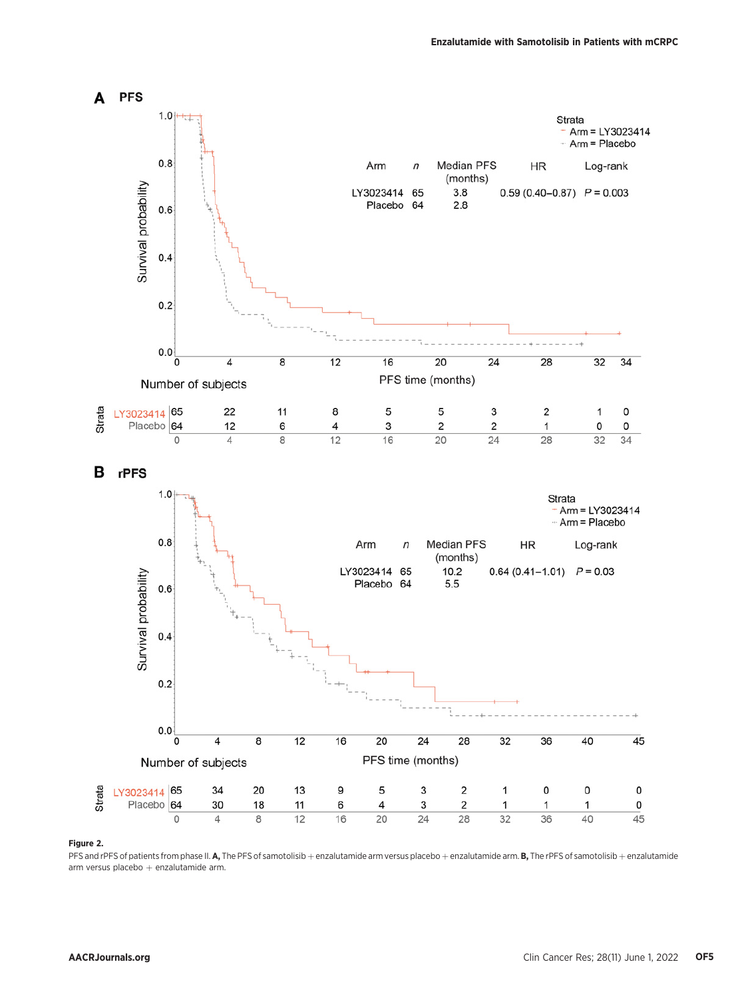

# Figure 2.

PFS and rPFS of patients from phase II. A, The PFS of samotolisib + enzalutamide arm versus placebo + enzalutamide arm. B, The rPFS of samotolisib + enzalutamide arm versus placebo  $+$  enzalutamide arm.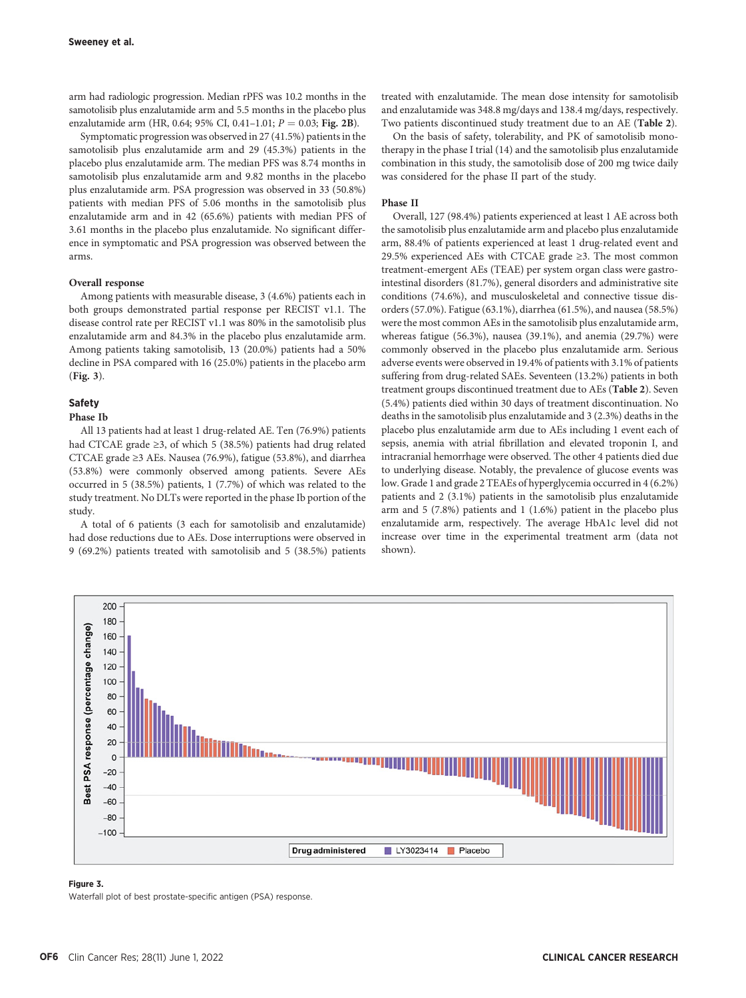arm had radiologic progression. Median rPFS was 10.2 months in the samotolisib plus enzalutamide arm and 5.5 months in the placebo plus enzalutamide arm (HR, 0.64; 95% CI, 0.41-1.01;  $P = 0.03$ ; Fig. 2B).

Symptomatic progression was observed in 27 (41.5%) patients in the samotolisib plus enzalutamide arm and 29 (45.3%) patients in the placebo plus enzalutamide arm. The median PFS was 8.74 months in samotolisib plus enzalutamide arm and 9.82 months in the placebo plus enzalutamide arm. PSA progression was observed in 33 (50.8%) patients with median PFS of 5.06 months in the samotolisib plus enzalutamide arm and in 42 (65.6%) patients with median PFS of 3.61 months in the placebo plus enzalutamide. No significant difference in symptomatic and PSA progression was observed between the arms.

# Overall response

Among patients with measurable disease, 3 (4.6%) patients each in both groups demonstrated partial response per RECIST v1.1. The disease control rate per RECIST v1.1 was 80% in the samotolisib plus enzalutamide arm and 84.3% in the placebo plus enzalutamide arm. Among patients taking samotolisib, 13 (20.0%) patients had a 50% decline in PSA compared with 16 (25.0%) patients in the placebo arm (Fig. 3).

# Safety

#### Phase Ib

All 13 patients had at least 1 drug-related AE. Ten (76.9%) patients had CTCAE grade ≥3, of which 5 (38.5%) patients had drug related CTCAE grade ≥3 AEs. Nausea (76.9%), fatigue (53.8%), and diarrhea (53.8%) were commonly observed among patients. Severe AEs occurred in 5 (38.5%) patients, 1 (7.7%) of which was related to the study treatment. No DLTs were reported in the phase Ib portion of the study.

A total of 6 patients (3 each for samotolisib and enzalutamide) had dose reductions due to AEs. Dose interruptions were observed in 9 (69.2%) patients treated with samotolisib and 5 (38.5%) patients treated with enzalutamide. The mean dose intensity for samotolisib and enzalutamide was 348.8 mg/days and 138.4 mg/days, respectively. Two patients discontinued study treatment due to an AE (Table 2).

On the basis of safety, tolerability, and PK of samotolisib monotherapy in the phase I trial (14) and the samotolisib plus enzalutamide combination in this study, the samotolisib dose of 200 mg twice daily was considered for the phase II part of the study.

## Phase II

Overall, 127 (98.4%) patients experienced at least 1 AE across both the samotolisib plus enzalutamide arm and placebo plus enzalutamide arm, 88.4% of patients experienced at least 1 drug-related event and 29.5% experienced AEs with CTCAE grade ≥3. The most common treatment-emergent AEs (TEAE) per system organ class were gastrointestinal disorders (81.7%), general disorders and administrative site conditions (74.6%), and musculoskeletal and connective tissue disorders (57.0%). Fatigue (63.1%), diarrhea (61.5%), and nausea (58.5%) were the most common AEs in the samotolisib plus enzalutamide arm, whereas fatigue (56.3%), nausea (39.1%), and anemia (29.7%) were commonly observed in the placebo plus enzalutamide arm. Serious adverse events were observed in 19.4% of patients with 3.1% of patients suffering from drug-related SAEs. Seventeen (13.2%) patients in both treatment groups discontinued treatment due to AEs (Table 2). Seven (5.4%) patients died within 30 days of treatment discontinuation. No deaths in the samotolisib plus enzalutamide and 3 (2.3%) deaths in the placebo plus enzalutamide arm due to AEs including 1 event each of sepsis, anemia with atrial fibrillation and elevated troponin I, and intracranial hemorrhage were observed. The other 4 patients died due to underlying disease. Notably, the prevalence of glucose events was low. Grade 1 and grade 2 TEAEs of hyperglycemia occurred in 4 (6.2%) patients and 2 (3.1%) patients in the samotolisib plus enzalutamide arm and 5 (7.8%) patients and 1 (1.6%) patient in the placebo plus enzalutamide arm, respectively. The average HbA1c level did not increase over time in the experimental treatment arm (data not shown).



#### Figure 3.

Waterfall plot of best prostate-specific antigen (PSA) response.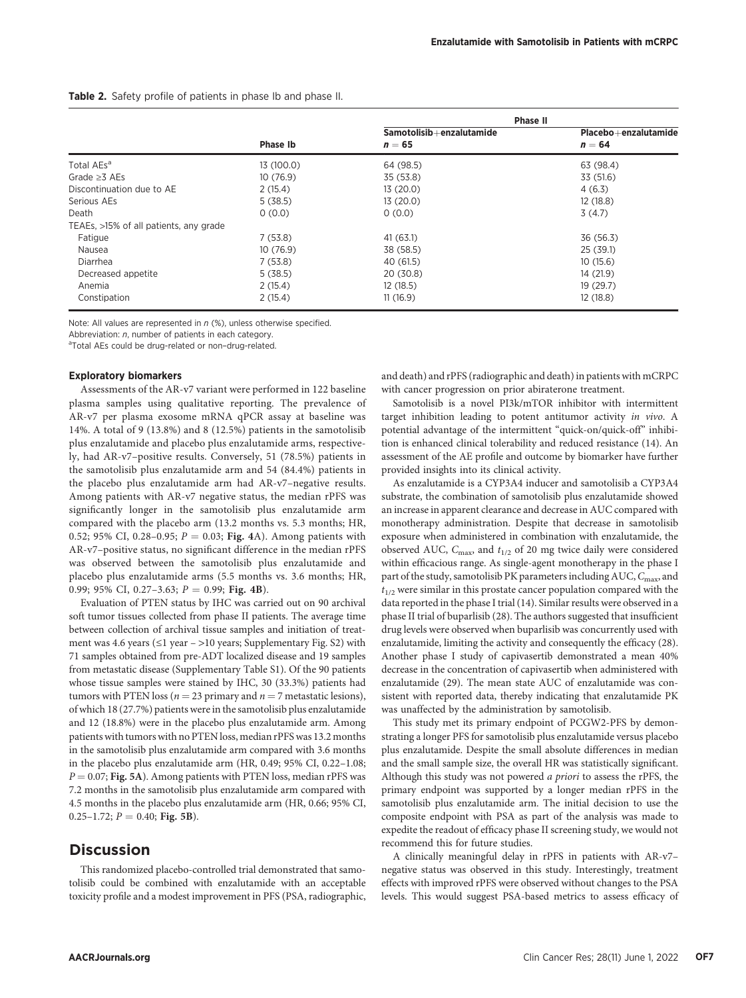Table 2. Safety profile of patients in phase Ib and phase II.

|                                        |                 | Phase II                             |                                  |
|----------------------------------------|-----------------|--------------------------------------|----------------------------------|
|                                        | <b>Phase Ib</b> | Samotolisib+enzalutamide<br>$n = 65$ | Placebo+enzalutamide<br>$n = 64$ |
| Total AEs <sup>a</sup>                 | 13 (100.0)      | 64 (98.5)                            | 63 (98.4)                        |
| Grade $>3$ AEs                         | 10(76.9)        | 35 (53.8)                            | 33 (51.6)                        |
| Discontinuation due to AE              | 2(15.4)         | 13(20.0)                             | 4(6.3)                           |
| Serious AEs                            | 5(38.5)         | 13(20.0)                             | 12(18.8)                         |
| Death                                  | 0(0.0)          | 0(0.0)                               | 3(4.7)                           |
| TEAEs, >15% of all patients, any grade |                 |                                      |                                  |
| Fatigue                                | 7(53.8)         | 41 (63.1)                            | 36 (56.3)                        |
| Nausea                                 | 10(76.9)        | 38 (58.5)                            | 25(39.1)                         |
| Diarrhea                               | 7(53.8)         | 40 (61.5)                            | 10(15.6)                         |
| Decreased appetite                     | 5(38.5)         | 20 (30.8)                            | 14 (21.9)                        |
| Anemia                                 | 2(15.4)         | 12(18.5)                             | 19(29.7)                         |
| Constipation                           | 2(15.4)         | 11(16.9)                             | 12(18.8)                         |

Note: All values are represented in  $n$  (%), unless otherwise specified.

Abbreviation: n, number of patients in each category.

<sup>a</sup>Total AEs could be drug-related or non-drug-related.

# Exploratory biomarkers

Assessments of the AR-v7 variant were performed in 122 baseline plasma samples using qualitative reporting. The prevalence of AR-v7 per plasma exosome mRNA qPCR assay at baseline was 14%. A total of 9 (13.8%) and 8 (12.5%) patients in the samotolisib plus enzalutamide and placebo plus enzalutamide arms, respectively, had AR-v7–positive results. Conversely, 51 (78.5%) patients in the samotolisib plus enzalutamide arm and 54 (84.4%) patients in the placebo plus enzalutamide arm had AR-v7–negative results. Among patients with AR-v7 negative status, the median rPFS was significantly longer in the samotolisib plus enzalutamide arm compared with the placebo arm (13.2 months vs. 5.3 months; HR, 0.52; 95% CI, 0.28-0.95;  $P = 0.03$ ; Fig. 4A). Among patients with AR-v7–positive status, no significant difference in the median rPFS was observed between the samotolisib plus enzalutamide and placebo plus enzalutamide arms (5.5 months vs. 3.6 months; HR, 0.99; 95% CI, 0.27-3.63;  $P = 0.99$ ; Fig. 4B).

Evaluation of PTEN status by IHC was carried out on 90 archival soft tumor tissues collected from phase II patients. The average time between collection of archival tissue samples and initiation of treatment was 4.6 years ( $\leq$ 1 year – >10 years; Supplementary Fig. S2) with 71 samples obtained from pre-ADT localized disease and 19 samples from metastatic disease (Supplementary Table S1). Of the 90 patients whose tissue samples were stained by IHC, 30 (33.3%) patients had tumors with PTEN loss ( $n = 23$  primary and  $n = 7$  metastatic lesions), of which 18 (27.7%) patients were in the samotolisib plus enzalutamide and 12 (18.8%) were in the placebo plus enzalutamide arm. Among patients with tumors with no PTEN loss, median rPFS was 13.2 months in the samotolisib plus enzalutamide arm compared with 3.6 months in the placebo plus enzalutamide arm (HR, 0.49; 95% CI, 0.22–1.08;  $P = 0.07$ ; Fig. 5A). Among patients with PTEN loss, median rPFS was 7.2 months in the samotolisib plus enzalutamide arm compared with 4.5 months in the placebo plus enzalutamide arm (HR, 0.66; 95% CI, 0.25–1.72;  $P = 0.40$ ; Fig. 5B).

# **Discussion**

This randomized placebo-controlled trial demonstrated that samotolisib could be combined with enzalutamide with an acceptable toxicity profile and a modest improvement in PFS (PSA, radiographic, and death) and rPFS (radiographic and death) in patients with mCRPC with cancer progression on prior abiraterone treatment.

Samotolisib is a novel PI3k/mTOR inhibitor with intermittent target inhibition leading to potent antitumor activity in vivo. A potential advantage of the intermittent "quick-on/quick-off" inhibition is enhanced clinical tolerability and reduced resistance (14). An assessment of the AE profile and outcome by biomarker have further provided insights into its clinical activity.

As enzalutamide is a CYP3A4 inducer and samotolisib a CYP3A4 substrate, the combination of samotolisib plus enzalutamide showed an increase in apparent clearance and decrease in AUC compared with monotherapy administration. Despite that decrease in samotolisib exposure when administered in combination with enzalutamide, the observed AUC,  $C_{\text{max}}$ , and  $t_{1/2}$  of 20 mg twice daily were considered within efficacious range. As single-agent monotherapy in the phase I part of the study, samotolisib PK parameters including AUC, C<sub>max</sub>, and  $t_{1/2}$  were similar in this prostate cancer population compared with the data reported in the phase I trial (14). Similar results were observed in a phase II trial of buparlisib (28). The authors suggested that insufficient drug levels were observed when buparlisib was concurrently used with enzalutamide, limiting the activity and consequently the efficacy (28). Another phase I study of capivasertib demonstrated a mean 40% decrease in the concentration of capivasertib when administered with enzalutamide (29). The mean state AUC of enzalutamide was consistent with reported data, thereby indicating that enzalutamide PK was unaffected by the administration by samotolisib.

This study met its primary endpoint of PCGW2-PFS by demonstrating a longer PFS for samotolisib plus enzalutamide versus placebo plus enzalutamide. Despite the small absolute differences in median and the small sample size, the overall HR was statistically significant. Although this study was not powered a priori to assess the rPFS, the primary endpoint was supported by a longer median rPFS in the samotolisib plus enzalutamide arm. The initial decision to use the composite endpoint with PSA as part of the analysis was made to expedite the readout of efficacy phase II screening study, we would not recommend this for future studies.

A clinically meaningful delay in rPFS in patients with AR-v7– negative status was observed in this study. Interestingly, treatment effects with improved rPFS were observed without changes to the PSA levels. This would suggest PSA-based metrics to assess efficacy of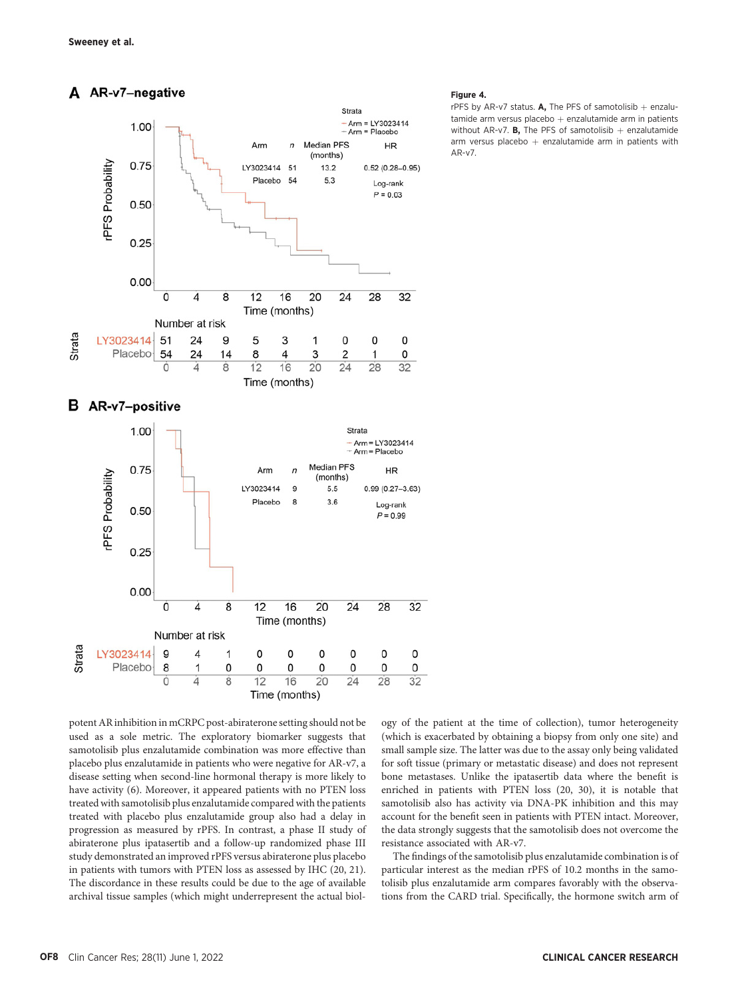# A AR-v7-negative





potent AR inhibition in mCRPC post-abiraterone setting should not be used as a sole metric. The exploratory biomarker suggests that samotolisib plus enzalutamide combination was more effective than placebo plus enzalutamide in patients who were negative for AR-v7, a disease setting when second-line hormonal therapy is more likely to have activity (6). Moreover, it appeared patients with no PTEN loss treated with samotolisib plus enzalutamide compared with the patients treated with placebo plus enzalutamide group also had a delay in progression as measured by rPFS. In contrast, a phase II study of abiraterone plus ipatasertib and a follow-up randomized phase III study demonstrated an improved rPFS versus abiraterone plus placebo in patients with tumors with PTEN loss as assessed by IHC (20, 21). The discordance in these results could be due to the age of available archival tissue samples (which might underrepresent the actual biol-

#### Figure 4.

rPFS by AR-v7 status. A, The PFS of samotolisib  $+$  enzalutamide arm versus placebo  $+$  enzalutamide arm in patients without AR-v7. **B**, The PFS of samotolisib  $+$  enzalutamide arm versus placebo  $+$  enzalutamide arm in patients with AR-v7.

ogy of the patient at the time of collection), tumor heterogeneity (which is exacerbated by obtaining a biopsy from only one site) and small sample size. The latter was due to the assay only being validated for soft tissue (primary or metastatic disease) and does not represent bone metastases. Unlike the ipatasertib data where the benefit is enriched in patients with PTEN loss (20, 30), it is notable that samotolisib also has activity via DNA-PK inhibition and this may account for the benefit seen in patients with PTEN intact. Moreover, the data strongly suggests that the samotolisib does not overcome the resistance associated with AR-v7.

The findings of the samotolisib plus enzalutamide combination is of particular interest as the median rPFS of 10.2 months in the samotolisib plus enzalutamide arm compares favorably with the observations from the CARD trial. Specifically, the hormone switch arm of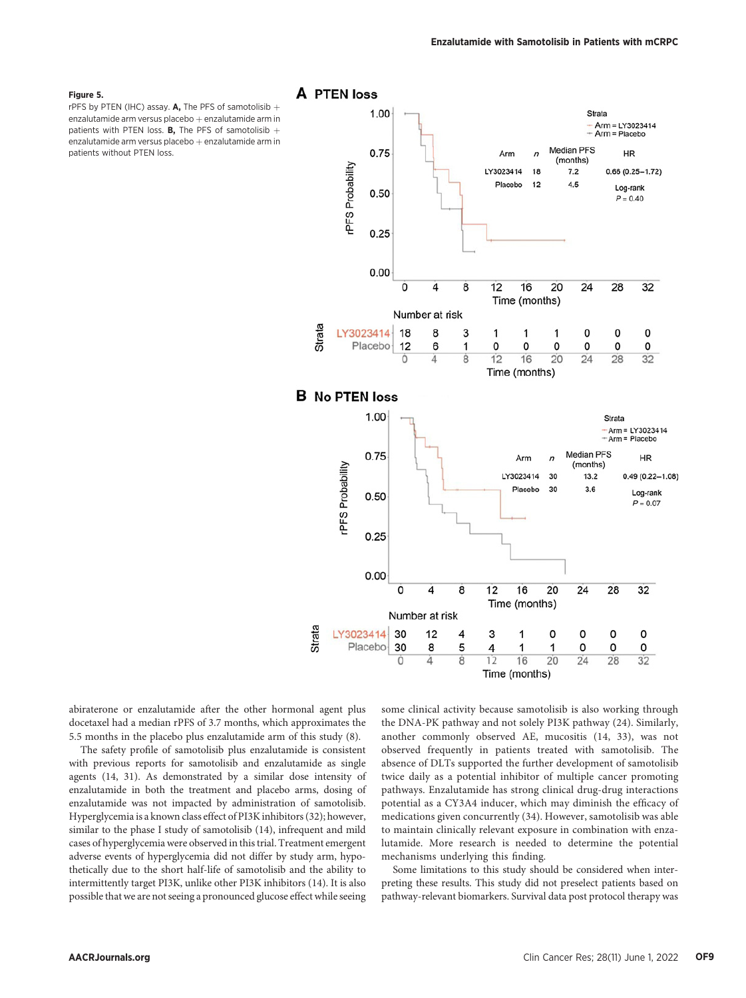### Figure 5.

rPFS by PTEN (IHC) assay. A, The PFS of samotolisib  $+$ enzalutamide arm versus placebo  $+$  enzalutamide arm in patients with PTEN loss. **B**, The PFS of samotolisib  $+$ enzalutamide arm versus placebo  $+$  enzalutamide arm in patients without PTEN loss.



abiraterone or enzalutamide after the other hormonal agent plus docetaxel had a median rPFS of 3.7 months, which approximates the 5.5 months in the placebo plus enzalutamide arm of this study (8).

The safety profile of samotolisib plus enzalutamide is consistent with previous reports for samotolisib and enzalutamide as single agents (14, 31). As demonstrated by a similar dose intensity of enzalutamide in both the treatment and placebo arms, dosing of enzalutamide was not impacted by administration of samotolisib. Hyperglycemia is a known class effect of PI3K inhibitors (32); however, similar to the phase I study of samotolisib (14), infrequent and mild cases of hyperglycemia were observed in this trial. Treatment emergent adverse events of hyperglycemia did not differ by study arm, hypothetically due to the short half-life of samotolisib and the ability to intermittently target PI3K, unlike other PI3K inhibitors (14). It is also possible that we are not seeing a pronounced glucose effect while seeing some clinical activity because samotolisib is also working through the DNA-PK pathway and not solely PI3K pathway (24). Similarly, another commonly observed AE, mucositis (14, 33), was not observed frequently in patients treated with samotolisib. The absence of DLTs supported the further development of samotolisib twice daily as a potential inhibitor of multiple cancer promoting pathways. Enzalutamide has strong clinical drug-drug interactions potential as a CY3A4 inducer, which may diminish the efficacy of medications given concurrently (34). However, samotolisib was able to maintain clinically relevant exposure in combination with enzalutamide. More research is needed to determine the potential mechanisms underlying this finding.

Some limitations to this study should be considered when interpreting these results. This study did not preselect patients based on pathway-relevant biomarkers. Survival data post protocol therapy was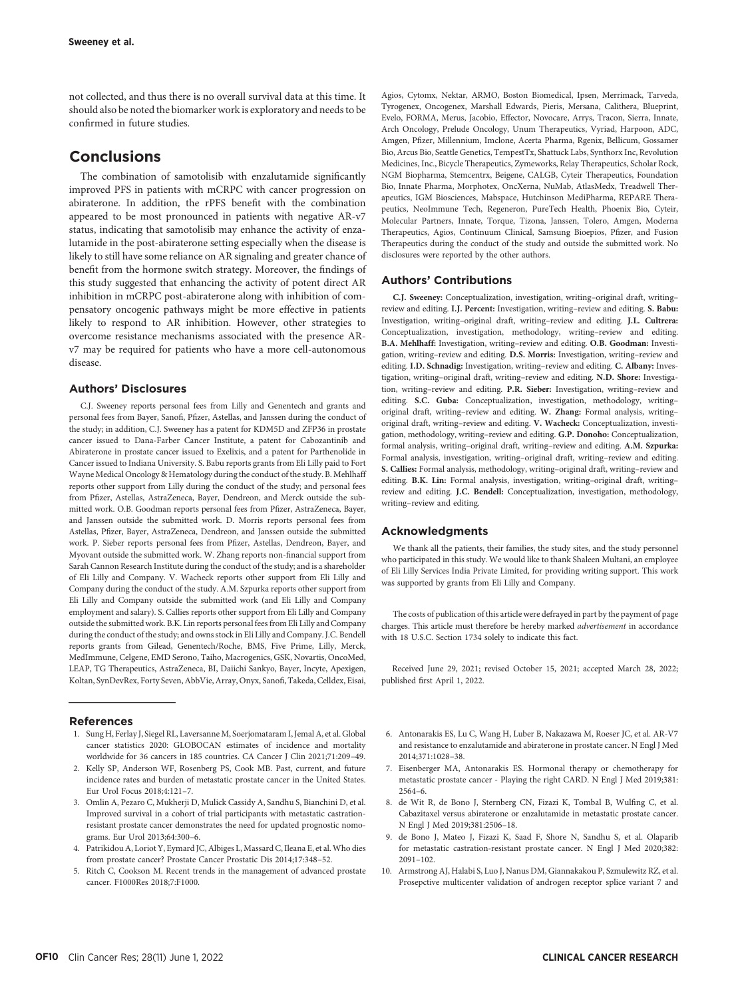not collected, and thus there is no overall survival data at this time. It should also be noted the biomarker work is exploratory and needs to be confirmed in future studies.

# **Conclusions**

The combination of samotolisib with enzalutamide significantly improved PFS in patients with mCRPC with cancer progression on abiraterone. In addition, the rPFS benefit with the combination appeared to be most pronounced in patients with negative AR-v7 status, indicating that samotolisib may enhance the activity of enzalutamide in the post-abiraterone setting especially when the disease is likely to still have some reliance on AR signaling and greater chance of benefit from the hormone switch strategy. Moreover, the findings of this study suggested that enhancing the activity of potent direct AR inhibition in mCRPC post-abiraterone along with inhibition of compensatory oncogenic pathways might be more effective in patients likely to respond to AR inhibition. However, other strategies to overcome resistance mechanisms associated with the presence ARv7 may be required for patients who have a more cell-autonomous disease.

# Authors' Disclosures

C.J. Sweeney reports personal fees from Lilly and Genentech and grants and personal fees from Bayer, Sanofi, Pfizer, Astellas, and Janssen during the conduct of the study; in addition, C.J. Sweeney has a patent for KDM5D and ZFP36 in prostate cancer issued to Dana-Farber Cancer Institute, a patent for Cabozantinib and Abiraterone in prostate cancer issued to Exelixis, and a patent for Parthenolide in Cancer issued to Indiana University. S. Babu reports grants from Eli Lilly paid to Fort Wayne Medical Oncology & Hematology during the conduct of the study. B. Mehlhaff reports other support from Lilly during the conduct of the study; and personal fees from Pfizer, Astellas, AstraZeneca, Bayer, Dendreon, and Merck outside the submitted work. O.B. Goodman reports personal fees from Pfizer, AstraZeneca, Bayer, and Janssen outside the submitted work. D. Morris reports personal fees from Astellas, Pfizer, Bayer, AstraZeneca, Dendreon, and Janssen outside the submitted work. P. Sieber reports personal fees from Pfizer, Astellas, Dendreon, Bayer, and Myovant outside the submitted work. W. Zhang reports non-financial support from Sarah Cannon Research Institute during the conduct of the study; and is a shareholder of Eli Lilly and Company. V. Wacheck reports other support from Eli Lilly and Company during the conduct of the study. A.M. Szpurka reports other support from Eli Lilly and Company outside the submitted work (and Eli Lilly and Company employment and salary). S. Callies reports other support from Eli Lilly and Company outside the submitted work. B.K. Lin reports personal fees from Eli Lilly and Company during the conduct of the study; and owns stock in Eli Lilly and Company. J.C. Bendell reports grants from Gilead, Genentech/Roche, BMS, Five Prime, Lilly, Merck, MedImmune, Celgene, EMD Serono, Taiho, Macrogenics, GSK, Novartis, OncoMed, LEAP, TG Therapeutics, AstraZeneca, BI, Daiichi Sankyo, Bayer, Incyte, Apexigen, Koltan, SynDevRex, Forty Seven, AbbVie, Array, Onyx, Sanofi, Takeda, Celldex, Eisai,

# References

- 1. Sung H, Ferlay J, Siegel RL, Laversanne M, Soerjomataram I, Jemal A, et al. Global cancer statistics 2020: GLOBOCAN estimates of incidence and mortality worldwide for 36 cancers in 185 countries. CA Cancer J Clin 2021;71:209–49.
- 2. Kelly SP, Anderson WF, Rosenberg PS, Cook MB. Past, current, and future incidence rates and burden of metastatic prostate cancer in the United States. Eur Urol Focus 2018;4:121–7.
- 3. Omlin A, Pezaro C, Mukherji D, Mulick Cassidy A, Sandhu S, Bianchini D, et al. Improved survival in a cohort of trial participants with metastatic castrationresistant prostate cancer demonstrates the need for updated prognostic nomograms. Eur Urol 2013;64:300–6.
- 4. Patrikidou A, Loriot Y, Eymard JC, Albiges L, Massard C, Ileana E, et al.Who dies from prostate cancer? Prostate Cancer Prostatic Dis 2014;17:348–52.
- 5. Ritch C, Cookson M. Recent trends in the management of advanced prostate cancer. F1000Res 2018;7:F1000.

Agios, Cytomx, Nektar, ARMO, Boston Biomedical, Ipsen, Merrimack, Tarveda, Tyrogenex, Oncogenex, Marshall Edwards, Pieris, Mersana, Calithera, Blueprint, Evelo, FORMA, Merus, Jacobio, Effector, Novocare, Arrys, Tracon, Sierra, Innate, Arch Oncology, Prelude Oncology, Unum Therapeutics, Vyriad, Harpoon, ADC, Amgen, Pfizer, Millennium, Imclone, Acerta Pharma, Rgenix, Bellicum, Gossamer Bio, Arcus Bio, Seattle Genetics, TempestTx, Shattuck Labs, Synthorx Inc, Revolution Medicines, Inc., Bicycle Therapeutics, Zymeworks, Relay Therapeutics, Scholar Rock, NGM Biopharma, Stemcentrx, Beigene, CALGB, Cyteir Therapeutics, Foundation Bio, Innate Pharma, Morphotex, OncXerna, NuMab, AtlasMedx, Treadwell Therapeutics, IGM Biosciences, Mabspace, Hutchinson MediPharma, REPARE Therapeutics, NeoImmune Tech, Regeneron, PureTech Health, Phoenix Bio, Cyteir, Molecular Partners, Innate, Torque, Tizona, Janssen, Tolero, Amgen, Moderna Therapeutics, Agios, Continuum Clinical, Samsung Bioepios, Pfizer, and Fusion Therapeutics during the conduct of the study and outside the submitted work. No disclosures were reported by the other authors.

# Authors' Contributions

C.J. Sweeney: Conceptualization, investigation, writing–original draft, writing– review and editing. I.J. Percent: Investigation, writing–review and editing. S. Babu: Investigation, writing–original draft, writing–review and editing. J.L. Cultrera: Conceptualization, investigation, methodology, writing–review and editing. B.A. Mehlhaff: Investigation, writing–review and editing. O.B. Goodman: Investigation, writing–review and editing. D.S. Morris: Investigation, writing–review and editing. I.D. Schnadig: Investigation, writing–review and editing. C. Albany: Investigation, writing–original draft, writing–review and editing. N.D. Shore: Investigation, writing–review and editing. P.R. Sieber: Investigation, writing–review and editing. S.C. Guba: Conceptualization, investigation, methodology, writing– original draft, writing–review and editing. W. Zhang: Formal analysis, writing– original draft, writing–review and editing. V. Wacheck: Conceptualization, investigation, methodology, writing–review and editing. G.P. Donoho: Conceptualization, formal analysis, writing–original draft, writing–review and editing. A.M. Szpurka: Formal analysis, investigation, writing–original draft, writing–review and editing. S. Callies: Formal analysis, methodology, writing–original draft, writing–review and editing. B.K. Lin: Formal analysis, investigation, writing–original draft, writing– review and editing. J.C. Bendell: Conceptualization, investigation, methodology, writing–review and editing.

# Acknowledgments

We thank all the patients, their families, the study sites, and the study personnel who participated in this study. We would like to thank Shaleen Multani, an employee of Eli Lilly Services India Private Limited, for providing writing support. This work was supported by grants from Eli Lilly and Company.

The costs of publication of this article were defrayed in part by the payment of page charges. This article must therefore be hereby marked advertisement in accordance with 18 U.S.C. Section 1734 solely to indicate this fact.

Received June 29, 2021; revised October 15, 2021; accepted March 28, 2022; published first April 1, 2022.

- 6. Antonarakis ES, Lu C, Wang H, Luber B, Nakazawa M, Roeser JC, et al. AR-V7 and resistance to enzalutamide and abiraterone in prostate cancer. N Engl J Med 2014;371:1028–38.
- 7. Eisenberger MA, Antonarakis ES. Hormonal therapy or chemotherapy for metastatic prostate cancer - Playing the right CARD. N Engl J Med 2019;381: 2564–6.
- 8. de Wit R, de Bono J, Sternberg CN, Fizazi K, Tombal B, Wulfing C, et al. Cabazitaxel versus abiraterone or enzalutamide in metastatic prostate cancer. N Engl J Med 2019;381:2506–18.
- 9. de Bono J, Mateo J, Fizazi K, Saad F, Shore N, Sandhu S, et al. Olaparib for metastatic castration-resistant prostate cancer. N Engl J Med 2020;382: 2091–102.
- 10. Armstrong AJ, Halabi S, Luo J, Nanus DM, Giannakakou P, Szmulewitz RZ, et al. Prosepctive multicenter validation of androgen receptor splice variant 7 and